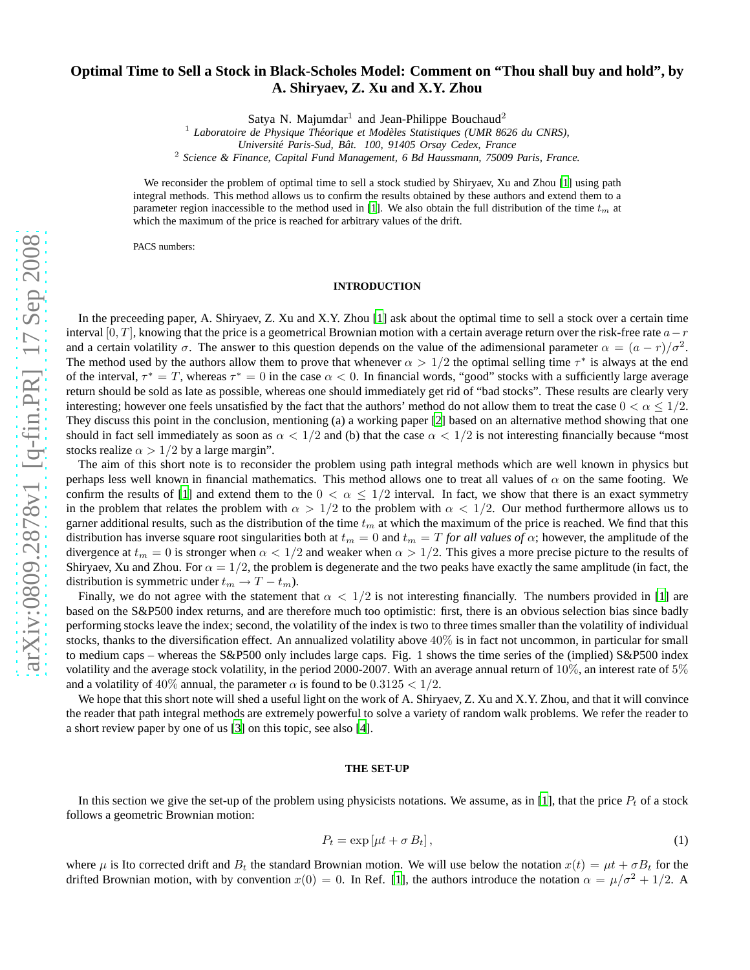# **Optimal Time to Sell a Stock in Black-Scholes Model: Comment on "Thou shall buy and hold", by A. Shiryaev, Z. Xu and X.Y. Zhou**

Satya N. Majumdar<sup>1</sup> and Jean-Philippe Bouchaud<sup>2</sup>

<sup>1</sup> Laboratoire de Physique Théorique et Modèles Statistiques (UMR 8626 du CNRS),

*Universit´e Paris-Sud, Bˆat. 100, 91405 Orsay Cedex, France*

2 *Science & Finance, Capital Fund Management, 6 Bd Haussmann, 75009 Paris, France.*

We reconsider the problem of optimal time to sell a stock studied by Shiryaev, Xu and Zhou [\[1](#page-9-0)] using path integral methods. This method allows us to confirm the results obtained by these authors and extend them to a parameter region inaccessible to the method used in [\[1](#page-9-0)]. We also obtain the full distribution of the time  $t<sub>m</sub>$  at which the maximum of the price is reached for arbitrary values of the drift.

PACS numbers:

### **INTRODUCTION**

In the preceeding paper, A. Shiryaev, Z. Xu and X.Y. Zhou [\[1\]](#page-9-0) ask about the optimal time to sell a stock over a certain time interval [0, T], knowing that the price is a geometrical Brownian motion with a certain average return over the risk-free rate  $a-r$ and a certain volatility  $\sigma$ . The answer to this question depends on the value of the adimensional parameter  $\alpha = (a - r)/\sigma^2$ . The method used by the authors allow them to prove that whenever  $\alpha > 1/2$  the optimal selling time  $\tau^*$  is always at the end of the interval,  $\tau^* = T$ , whereas  $\tau^* = 0$  in the case  $\alpha < 0$ . In financial words, "good" stocks with a sufficiently large average return should be sold as late as possible, whereas one should immediately get rid of "bad stocks". These results are clearly very interesting; however one feels unsatisfied by the fact that the authors' method do not allow them to treat the case  $0 < \alpha \leq 1/2$ . They discuss this point in the conclusion, mentioning (a) a working paper [\[2\]](#page-9-1) based on an alternative method showing that one should in fact sell immediately as soon as  $\alpha < 1/2$  and (b) that the case  $\alpha < 1/2$  is not interesting financially because "most stocks realize  $\alpha > 1/2$  by a large margin".

The aim of this short note is to reconsider the problem using path integral methods which are well known in physics but perhaps less well known in financial mathematics. This method allows one to treat all values of  $\alpha$  on the same footing. We confirm the results of [\[1\]](#page-9-0) and extend them to the  $0 < \alpha \leq 1/2$  interval. In fact, we show that there is an exact symmetry in the problem that relates the problem with  $\alpha > 1/2$  to the problem with  $\alpha < 1/2$ . Our method furthermore allows us to garner additional results, such as the distribution of the time  $t_m$  at which the maximum of the price is reached. We find that this distribution has inverse square root singularities both at  $t_m = 0$  and  $t_m = T$  *for all values of*  $\alpha$ ; however, the amplitude of the divergence at  $t_m = 0$  is stronger when  $\alpha < 1/2$  and weaker when  $\alpha > 1/2$ . This gives a more precise picture to the results of Shiryaev, Xu and Zhou. For  $\alpha = 1/2$ , the problem is degenerate and the two peaks have exactly the same amplitude (in fact, the distribution is symmetric under  $t_m \to T - t_m$ ).

Finally, we do not agree with the statement that  $\alpha < 1/2$  is not interesting financially. The numbers provided in [\[1](#page-9-0)] are based on the S&P500 index returns, and are therefore much too optimistic: first, there is an obvious selection bias since badly performing stocks leave the index; second, the volatility of the index is two to three times smaller than the volatility of individual stocks, thanks to the diversification effect. An annualized volatility above  $40\%$  is in fact not uncommon, in particular for small to medium caps – whereas the S&P500 only includes large caps. Fig. 1 shows the time series of the (implied) S&P500 index volatility and the average stock volatility, in the period 2000-2007. With an average annual return of  $10\%$ , an interest rate of  $5\%$ and a volatility of  $40\%$  annual, the parameter  $\alpha$  is found to be  $0.3125 < 1/2$ .

We hope that this short note will shed a useful light on the work of A. Shiryaev, Z. Xu and X.Y. Zhou, and that it will convince the reader that path integral methods are extremely powerful to solve a variety of random walk problems. We refer the reader to a short review paper by one of us [\[3\]](#page-9-2) on this topic, see also [\[4\]](#page-9-3).

#### **THE SET-UP**

In this section we give the set-up of the problem using physicists notations. We assume, as in [\[1](#page-9-0)], that the price  $P_t$  of a stock follows a geometric Brownian motion:

$$
P_t = \exp\left[\mu t + \sigma B_t\right],\tag{1}
$$

where  $\mu$  is Ito corrected drift and  $B_t$  the standard Brownian motion. We will use below the notation  $x(t) = \mu t + \sigma B_t$  for the drifted Brownian motion, with by convention  $x(0) = 0$ . In Ref. [\[1\]](#page-9-0), the authors introduce the notation  $\alpha = \mu/\sigma^2 + 1/2$ . A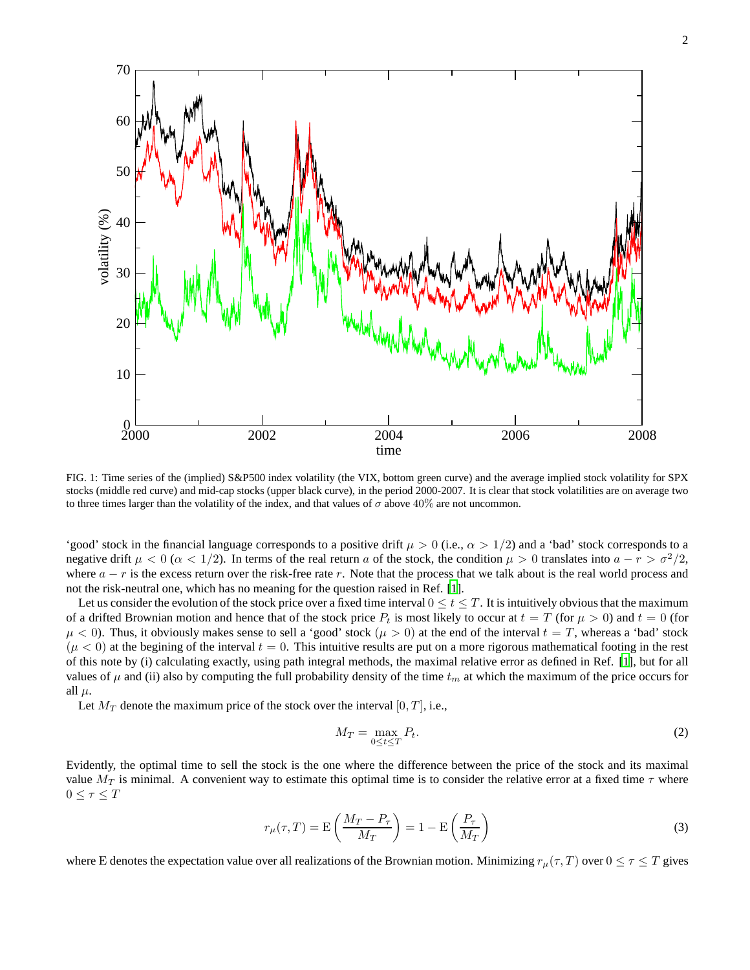

FIG. 1: Time series of the (implied) S&P500 index volatility (the VIX, bottom green curve) and the average implied stock volatility for SPX stocks (middle red curve) and mid-cap stocks (upper black curve), in the period 2000-2007. It is clear that stock volatilities are on average two to three times larger than the volatility of the index, and that values of  $\sigma$  above 40% are not uncommon.

'good' stock in the financial language corresponds to a positive drift  $\mu > 0$  (i.e.,  $\alpha > 1/2$ ) and a 'bad' stock corresponds to a negative drift  $\mu < 0$  ( $\alpha < 1/2$ ). In terms of the real return a of the stock, the condition  $\mu > 0$  translates into  $a - r > \sigma^2/2$ , where  $a - r$  is the excess return over the risk-free rate r. Note that the process that we talk about is the real world process and not the risk-neutral one, which has no meaning for the question raised in Ref. [\[1](#page-9-0)].

Let us consider the evolution of the stock price over a fixed time interval  $0 \le t \le T$ . It is intuitively obvious that the maximum of a drifted Brownian motion and hence that of the stock price  $P_t$  is most likely to occur at  $t = T$  (for  $\mu > 0$ ) and  $t = 0$  (for  $\mu$  < 0). Thus, it obviously makes sense to sell a 'good' stock  $(\mu > 0)$  at the end of the interval  $t = T$ , whereas a 'bad' stock  $(\mu < 0)$  at the begining of the interval  $t = 0$ . This intuitive results are put on a more rigorous mathematical footing in the rest of this note by (i) calculating exactly, using path integral methods, the maximal relative error as defined in Ref. [\[1\]](#page-9-0), but for all values of  $\mu$  and (ii) also by computing the full probability density of the time  $t_m$  at which the maximum of the price occurs for all  $\mu$ .

Let  $M_T$  denote the maximum price of the stock over the interval [0, T], i.e.,

$$
M_T = \max_{0 \le t \le T} P_t. \tag{2}
$$

Evidently, the optimal time to sell the stock is the one where the difference between the price of the stock and its maximal value  $M_T$  is minimal. A convenient way to estimate this optimal time is to consider the relative error at a fixed time  $\tau$  where  $0\leq \tau \leq T$ 

$$
r_{\mu}(\tau,T) = \mathcal{E}\left(\frac{M_T - P_{\tau}}{M_T}\right) = 1 - \mathcal{E}\left(\frac{P_{\tau}}{M_T}\right)
$$
\n(3)

where E denotes the expectation value over all realizations of the Brownian motion. Minimizing  $r_{\mu}(\tau, T)$  over  $0 \le \tau \le T$  gives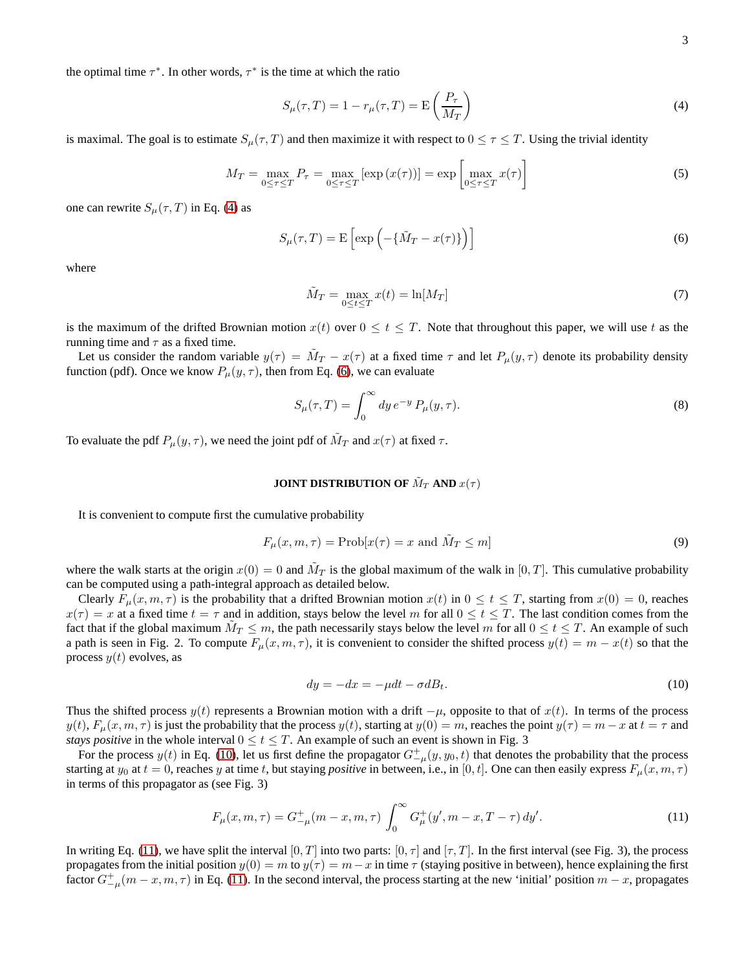the optimal time  $\tau^*$ . In other words,  $\tau^*$  is the time at which the ratio

<span id="page-2-0"></span>
$$
S_{\mu}(\tau,T) = 1 - r_{\mu}(\tau,T) = \mathcal{E}\left(\frac{P_{\tau}}{M_T}\right)
$$
\n(4)

is maximal. The goal is to estimate  $S_\mu(\tau, T)$  and then maximize it with respect to  $0 \leq \tau \leq T$ . Using the trivial identity

$$
M_T = \max_{0 \le \tau \le T} P_\tau = \max_{0 \le \tau \le T} [\exp(x(\tau))] = \exp\left[\max_{0 \le \tau \le T} x(\tau)\right]
$$
(5)

one can rewrite  $S_{\mu}(\tau, T)$  in Eq. [\(4\)](#page-2-0) as

<span id="page-2-1"></span>
$$
S_{\mu}(\tau,T) = \mathcal{E}\left[\exp\left(-\{\tilde{M}_T - x(\tau)\}\right)\right]
$$
\n(6)

where

$$
\tilde{M}_T = \max_{0 \le t \le T} x(t) = \ln[M_T]
$$
\n(7)

is the maximum of the drifted Brownian motion  $x(t)$  over  $0 \le t \le T$ . Note that throughout this paper, we will use t as the running time and  $\tau$  as a fixed time.

Let us consider the random variable  $y(\tau) = \tilde{M}_T - x(\tau)$  at a fixed time  $\tau$  and let  $P_\mu(y, \tau)$  denote its probability density function (pdf). Once we know  $P_{\mu}(y, \tau)$ , then from Eq. [\(6\)](#page-2-1), we can evaluate

$$
S_{\mu}(\tau,T) = \int_0^\infty dy \, e^{-y} P_{\mu}(y,\tau). \tag{8}
$$

To evaluate the pdf  $P_{\mu}(y, \tau)$ , we need the joint pdf of  $\tilde{M}_T$  and  $x(\tau)$  at fixed  $\tau$ .

## **JOINT DISTRIBUTION OF**  $\tilde{M}_T$  **AND**  $x(\tau)$

It is convenient to compute first the cumulative probability

$$
F_{\mu}(x, m, \tau) = \text{Prob}[x(\tau) = x \text{ and } \tilde{M}_T \le m]
$$
\n(9)

where the walk starts at the origin  $x(0) = 0$  and  $\tilde{M}_T$  is the global maximum of the walk in [0, T]. This cumulative probability can be computed using a path-integral approach as detailed below.

Clearly  $F_{\mu}(x, m, \tau)$  is the probability that a drifted Brownian motion  $x(t)$  in  $0 \le t \le T$ , starting from  $x(0) = 0$ , reaches  $x(\tau) = x$  at a fixed time  $t = \tau$  and in addition, stays below the level m for all  $0 \le t \le T$ . The last condition comes from the fact that if the global maximum  $\tilde{M}_T \leq m$ , the path necessarily stays below the level m for all  $0 \leq t \leq T$ . An example of such a path is seen in Fig. 2. To compute  $F_{\mu}(x, m, \tau)$ , it is convenient to consider the shifted process  $y(t) = m - x(t)$  so that the process  $y(t)$  evolves, as

<span id="page-2-2"></span>
$$
dy = -dx = -\mu dt - \sigma dB_t.
$$
\n(10)

Thus the shifted process  $y(t)$  represents a Brownian motion with a drift  $-\mu$ , opposite to that of  $x(t)$ . In terms of the process  $y(t)$ ,  $F_{\mu}(x, m, \tau)$  is just the probability that the process  $y(t)$ , starting at  $y(0) = m$ , reaches the point  $y(\tau) = m - x$  at  $t = \tau$  and *stays positive* in the whole interval  $0 \le t \le T$ . An example of such an event is shown in Fig. 3

For the process  $y(t)$  in Eq. [\(10\)](#page-2-2), let us first define the propagator  $G_{-\mu}^+(y, y_0, t)$  that denotes the probability that the process starting at  $y_0$  at  $t = 0$ , reaches y at time t, but staying *positive* in between, i.e., in [0, t]. One can then easily express  $F_\mu(x, m, \tau)$ in terms of this propagator as (see Fig. 3)

<span id="page-2-3"></span>
$$
F_{\mu}(x, m, \tau) = G_{-\mu}^{+}(m - x, m, \tau) \int_0^{\infty} G_{\mu}^{+}(y', m - x, T - \tau) dy'. \tag{11}
$$

In writing Eq. [\(11\)](#page-2-3), we have split the interval  $[0, T]$  into two parts:  $[0, \tau]$  and  $[\tau, T]$ . In the first interval (see Fig. 3), the process propagates from the initial position  $y(0) = m$  to  $y(\tau) = m - x$  in time  $\tau$  (staying positive in between), hence explaining the first factor  $G_{-\mu}^+(m-x,m,\tau)$  in Eq. [\(11\)](#page-2-3). In the second interval, the process starting at the new 'initial' position  $m-x$ , propagates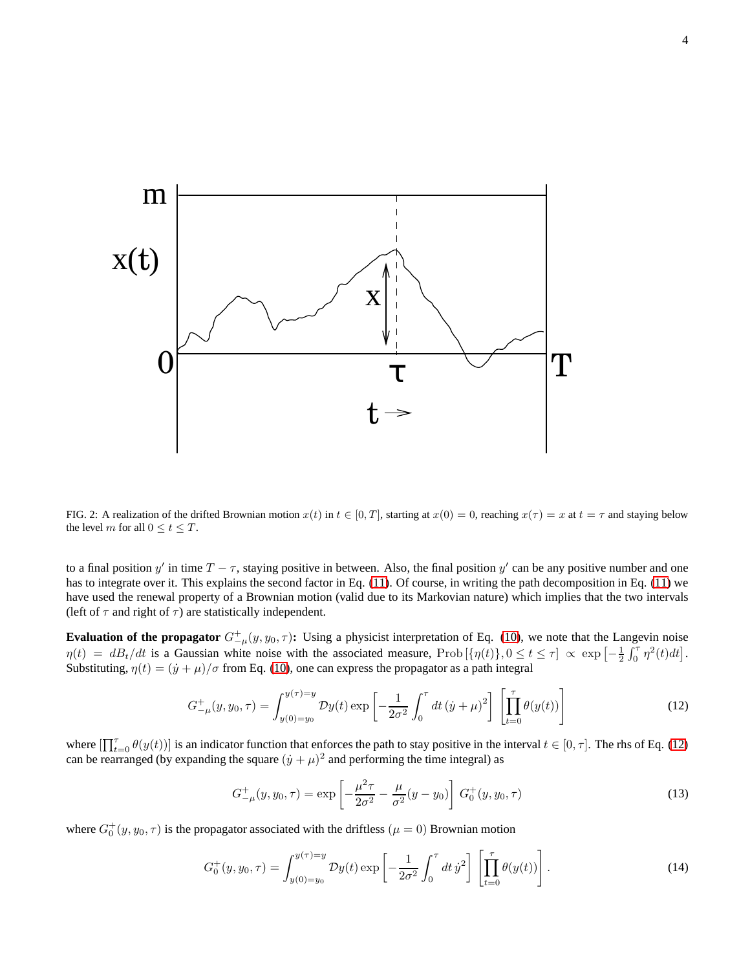

FIG. 2: A realization of the drifted Brownian motion  $x(t)$  in  $t \in [0, T]$ , starting at  $x(0) = 0$ , reaching  $x(\tau) = x$  at  $t = \tau$  and staying below the level m for all  $0 \le t \le T$ .

to a final position y' in time  $T - \tau$ , staying positive in between. Also, the final position y' can be any positive number and one has to integrate over it. This explains the second factor in Eq. [\(11\)](#page-2-3). Of course, in writing the path decomposition in Eq. [\(11\)](#page-2-3) we have used the renewal property of a Brownian motion (valid due to its Markovian nature) which implies that the two intervals (left of  $\tau$  and right of  $\tau$ ) are statistically independent.

**Evaluation of the propagator**  $G_{-\mu}^+(y, y_0, \tau)$ : Using a physicist interpretation of Eq. [\(10\)](#page-2-2), we note that the Langevin noise  $\eta(t) = dB_t/dt$  is a Gaussian white noise with the associated measure, Prob $[\{\eta(t)\}, 0 \le t \le \tau] \propto \exp\left[-\frac{1}{2}\int_0^{\tau} \eta^2(t)dt\right]$ . Substituting,  $\eta(t) = (\dot{y} + \mu)/\sigma$  from Eq. [\(10\)](#page-2-2), one can express the propagator as a path integral

<span id="page-3-0"></span>
$$
G_{-\mu}^{+}(y, y_0, \tau) = \int_{y(0) = y_0}^{y(\tau) = y} \mathcal{D}y(t) \exp\left[-\frac{1}{2\sigma^2} \int_0^{\tau} dt \left(\dot{y} + \mu\right)^2\right] \left[\prod_{t=0}^{\tau} \theta(y(t))\right]
$$
(12)

where  $\left[\prod_{t=0}^{\tau} \theta(y(t))\right]$  is an indicator function that enforces the path to stay positive in the interval  $t \in [0, \tau]$ . The rhs of Eq. [\(12\)](#page-3-0) can be rearranged (by expanding the square  $(j + \mu)^2$  and performing the time integral) as

<span id="page-3-1"></span>
$$
G_{-\mu}^{+}(y, y_0, \tau) = \exp\left[-\frac{\mu^2 \tau}{2\sigma^2} - \frac{\mu}{\sigma^2}(y - y_0)\right] G_0^{+}(y, y_0, \tau)
$$
\n(13)

where  $G_0^+(y, y_0, \tau)$  is the propagator associated with the driftless  $(\mu = 0)$  Brownian motion

$$
G_0^+(y, y_0, \tau) = \int_{y(0) = y_0}^{y(\tau) = y} \mathcal{D}y(t) \exp\left[-\frac{1}{2\sigma^2} \int_0^{\tau} dt \,\dot{y}^2\right] \left[\prod_{t=0}^{\tau} \theta(y(t))\right]. \tag{14}
$$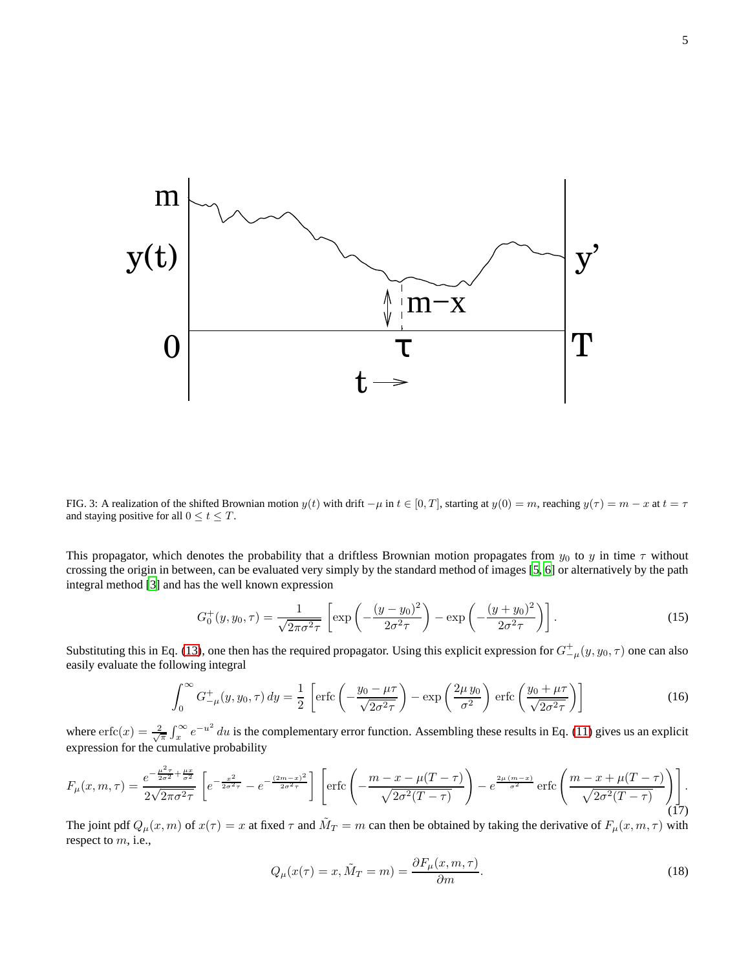

FIG. 3: A realization of the shifted Brownian motion  $y(t)$  with drift  $-\mu$  in  $t \in [0, T]$ , starting at  $y(0) = m$ , reaching  $y(\tau) = m - x$  at  $t = \tau$ and staying positive for all  $0 \le t \le T$ .

This propagator, which denotes the probability that a driftless Brownian motion propagates from  $y_0$  to y in time  $\tau$  without crossing the origin in between, can be evaluated very simply by the standard method of images [\[5](#page-9-4), [6](#page-9-5)] or alternatively by the path integral method [\[3\]](#page-9-2) and has the well known expression

$$
G_0^+(y, y_0, \tau) = \frac{1}{\sqrt{2\pi\sigma^2\tau}} \left[ \exp\left( -\frac{(y - y_0)^2}{2\sigma^2\tau} \right) - \exp\left( -\frac{(y + y_0)^2}{2\sigma^2\tau} \right) \right].
$$
 (15)

Substituting this in Eq. [\(13\)](#page-3-1), one then has the required propagator. Using this explicit expression for  $G^+_{-\mu}(y, y_0, \tau)$  one can also easily evaluate the following integral

$$
\int_0^\infty G_{-\mu}^+(y, y_0, \tau) dy = \frac{1}{2} \left[ \text{erfc}\left( -\frac{y_0 - \mu \tau}{\sqrt{2\sigma^2 \tau}} \right) - \exp\left( \frac{2\mu y_0}{\sigma^2} \right) \text{erfc}\left( \frac{y_0 + \mu \tau}{\sqrt{2\sigma^2 \tau}} \right) \right]
$$
(16)

where  $erfc(x) = \frac{2}{\sqrt{\pi}} \int_x^{\infty} e^{-u^2} du$  is the complementary error function. Assembling these results in Eq. [\(11\)](#page-2-3) gives us an explicit expression for the cumulative probability

<span id="page-4-1"></span>
$$
F_{\mu}(x,m,\tau) = \frac{e^{-\frac{\mu^2 \tau}{2\sigma^2} + \frac{\mu x}{\sigma^2}}}{2\sqrt{2\pi\sigma^2\tau}} \left[ e^{-\frac{x^2}{2\sigma^2\tau}} - e^{-\frac{(2m-x)^2}{2\sigma^2\tau}} \right] \left[ \text{erfc}\left( -\frac{m-x - \mu(T-\tau)}{\sqrt{2\sigma^2(T-\tau)}} \right) - e^{\frac{2\mu(m-x)}{\sigma^2}} \text{erfc}\left( \frac{m-x + \mu(T-\tau)}{\sqrt{2\sigma^2(T-\tau)}} \right) \right].
$$
\n(17)

The joint pdf  $Q_\mu(x,m)$  of  $x(\tau) = x$  at fixed  $\tau$  and  $\tilde{M}_T = m$  can then be obtained by taking the derivative of  $F_\mu(x,m,\tau)$  with respect to m, i.e.,

<span id="page-4-0"></span>
$$
Q_{\mu}(x(\tau) = x, \tilde{M}_T = m) = \frac{\partial F_{\mu}(x, m, \tau)}{\partial m}.
$$
\n(18)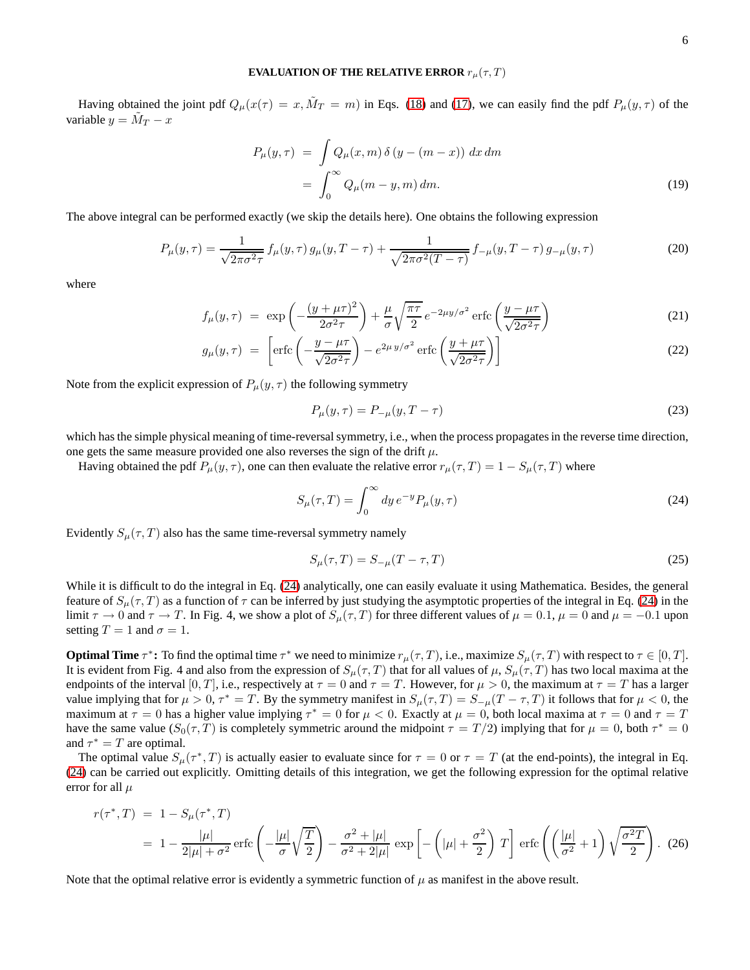## **EVALUATION OF THE RELATIVE ERROR**  $r_{\mu}(\tau, T)$

Having obtained the joint pdf  $Q_\mu(x(\tau) = x, \tilde{M}_T = m)$  in Eqs. [\(18\)](#page-4-0) and [\(17\)](#page-4-1), we can easily find the pdf  $P_\mu(y, \tau)$  of the variable  $y = \tilde{M}_T - x$ 

$$
P_{\mu}(y,\tau) = \int Q_{\mu}(x,m)\,\delta\left(y - (m - x)\right) dx \, dm
$$

$$
= \int_0^\infty Q_{\mu}(m - y,m) \, dm. \tag{19}
$$

The above integral can be performed exactly (we skip the details here). One obtains the following expression

$$
P_{\mu}(y,\tau) = \frac{1}{\sqrt{2\pi\sigma^2\tau}} f_{\mu}(y,\tau) g_{\mu}(y,T-\tau) + \frac{1}{\sqrt{2\pi\sigma^2(T-\tau)}} f_{-\mu}(y,T-\tau) g_{-\mu}(y,\tau)
$$
(20)

where

$$
f_{\mu}(y,\tau) = \exp\left(-\frac{(y+\mu\tau)^2}{2\sigma^2\tau}\right) + \frac{\mu}{\sigma}\sqrt{\frac{\pi\tau}{2}}e^{-2\mu y/\sigma^2}\operatorname{erfc}\left(\frac{y-\mu\tau}{\sqrt{2\sigma^2\tau}}\right) \tag{21}
$$

$$
g_{\mu}(y,\tau) = \left[ \text{erfc}\left( -\frac{y - \mu\tau}{\sqrt{2\sigma^2 \tau}} \right) - e^{2\mu y/\sigma^2} \text{erfc}\left( \frac{y + \mu\tau}{\sqrt{2\sigma^2 \tau}} \right) \right] \tag{22}
$$

Note from the explicit expression of  $P_{\mu}(y, \tau)$  the following symmetry

$$
P_{\mu}(y,\tau) = P_{-\mu}(y,T-\tau)
$$
\n(23)

which has the simple physical meaning of time-reversal symmetry, i.e., when the process propagates in the reverse time direction, one gets the same measure provided one also reverses the sign of the drift  $\mu$ .

Having obtained the pdf  $P_\mu(y, \tau)$ , one can then evaluate the relative error  $r_\mu(\tau, T) = 1 - S_\mu(\tau, T)$  where

<span id="page-5-0"></span>
$$
S_{\mu}(\tau,T) = \int_0^\infty dy \, e^{-y} P_{\mu}(y,\tau) \tag{24}
$$

Evidently  $S_u(\tau, T)$  also has the same time-reversal symmetry namely

<span id="page-5-2"></span>
$$
S_{\mu}(\tau, T) = S_{-\mu}(T - \tau, T)
$$
\n(25)

While it is difficult to do the integral in Eq. [\(24\)](#page-5-0) analytically, one can easily evaluate it using Mathematica. Besides, the general feature of  $S_\mu(\tau, T)$  as a function of  $\tau$  can be inferred by just studying the asymptotic properties of the integral in Eq. [\(24\)](#page-5-0) in the limit  $\tau \to 0$  and  $\tau \to T$ . In Fig. 4, we show a plot of  $S_{\mu}(\tau, T)$  for three different values of  $\mu = 0.1$ ,  $\mu = 0$  and  $\mu = -0.1$  upon setting  $T = 1$  and  $\sigma = 1$ .

**Optimal Time**  $\tau^*$ : To find the optimal time  $\tau^*$  we need to minimize  $r_\mu(\tau, T)$ , i.e., maximize  $S_\mu(\tau, T)$  with respect to  $\tau \in [0, T]$ . It is evident from Fig. 4 and also from the expression of  $S_{\mu}(\tau, T)$  that for all values of  $\mu$ ,  $S_{\mu}(\tau, T)$  has two local maxima at the endpoints of the interval [0, T], i.e., respectively at  $\tau = 0$  and  $\tau = T$ . However, for  $\mu > 0$ , the maximum at  $\tau = T$  has a larger value implying that for  $\mu > 0$ ,  $\tau^* = T$ . By the symmetry manifest in  $S_{\mu}(\tau, T) = S_{-\mu}(T - \tau, T)$  it follows that for  $\mu < 0$ , the maximum at  $\tau = 0$  has a higher value implying  $\tau^* = 0$  for  $\mu < 0$ . Exactly at  $\mu = 0$ , both local maxima at  $\tau = 0$  and  $\tau = T$ have the same value  $(S_0(\tau, T)$  is completely symmetric around the midpoint  $\tau = T/2$ ) implying that for  $\mu = 0$ , both  $\tau^* = 0$ and  $\tau^* = T$  are optimal.

The optimal value  $S_{\mu}(\tau^*,T)$  is actually easier to evaluate since for  $\tau=0$  or  $\tau=T$  (at the end-points), the integral in Eq. [\(24\)](#page-5-0) can be carried out explicitly. Omitting details of this integration, we get the following expression for the optimal relative error for all  $\mu$ 

<span id="page-5-1"></span>
$$
r(\tau^*,T) = 1 - S_\mu(\tau^*,T)
$$
  
=  $1 - \frac{|\mu|}{2|\mu| + \sigma^2} \operatorname{erfc}\left(-\frac{|\mu|}{\sigma}\sqrt{\frac{T}{2}}\right) - \frac{\sigma^2 + |\mu|}{\sigma^2 + 2|\mu|} \exp\left[-\left(|\mu| + \frac{\sigma^2}{2}\right)T\right] \operatorname{erfc}\left(\left(\frac{|\mu|}{\sigma^2} + 1\right)\sqrt{\frac{\sigma^2 T}{2}}\right).$  (26)

Note that the optimal relative error is evidently a symmetric function of  $\mu$  as manifest in the above result.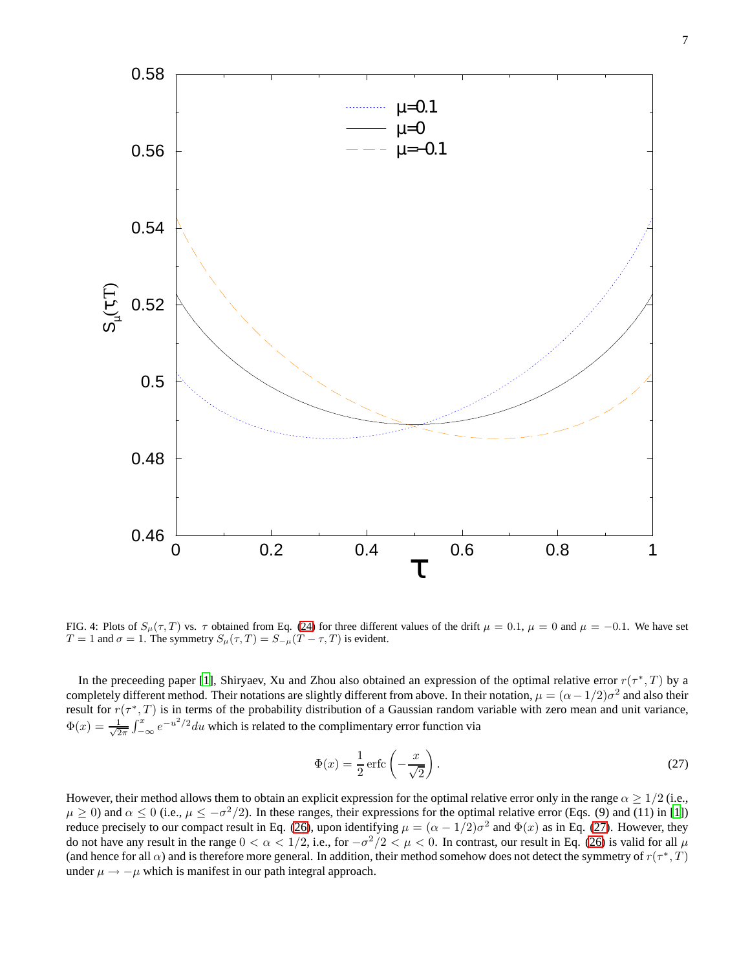

FIG. 4: Plots of  $S_{\mu}(\tau, T)$  vs.  $\tau$  obtained from Eq. [\(24\)](#page-5-0) for three different values of the drift  $\mu = 0.1$ ,  $\mu = 0$  and  $\mu = -0.1$ . We have set  $T = 1$  and  $\sigma = 1$ . The symmetry  $S_{\mu}(\tau, T) = S_{-\mu}(T - \tau, T)$  is evident.

In the preceeding paper [\[1](#page-9-0)], Shiryaev, Xu and Zhou also obtained an expression of the optimal relative error  $r(\tau^*,T)$  by a completely different method. Their notations are slightly different from above. In their notation,  $\mu = (\alpha - 1/2)\sigma^2$  and also their result for  $r(\tau^*,T)$  is in terms of the probability distribution of a Gaussian random variable with zero mean and unit variance,  $\Phi(x) = \frac{1}{\sqrt{2}}$  $\frac{1}{2\pi} \int_{-\infty}^{x} e^{-u^2/2} du$  which is related to the complimentary error function via

<span id="page-6-0"></span>
$$
\Phi(x) = \frac{1}{2} \operatorname{erfc} \left( -\frac{x}{\sqrt{2}} \right). \tag{27}
$$

However, their method allows them to obtain an explicit expression for the optimal relative error only in the range  $\alpha \geq 1/2$  (i.e.,  $\mu \ge 0$ ) and  $\alpha \le 0$  (i.e.,  $\mu \le -\sigma^2/2$ ). In these ranges, their expressions for the optimal relative error (Eqs. (9) and (11) in [\[1\]](#page-9-0)) reduce precisely to our compact result in Eq. [\(26\)](#page-5-1), upon identifying  $\mu = (\alpha - 1/2)\sigma^2$  and  $\Phi(x)$  as in Eq. [\(27\)](#page-6-0). However, they do not have any result in the range  $0 < \alpha < 1/2$ , i.e., for  $-\sigma^2/2 < \mu < 0$ . In contrast, our result in Eq. [\(26\)](#page-5-1) is valid for all  $\mu$ (and hence for all  $\alpha$ ) and is therefore more general. In addition, their method somehow does not detect the symmetry of  $r(\tau^*,T)$ under  $\mu \rightarrow -\mu$  which is manifest in our path integral approach.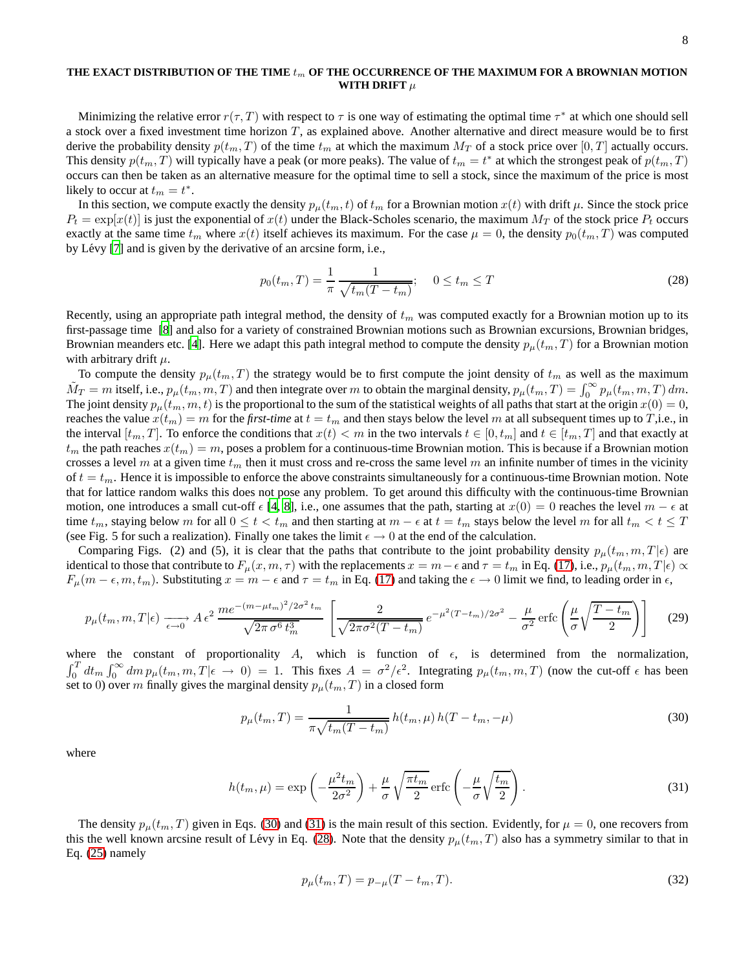## THE EXACT DISTRIBUTION OF THE TIME  $t_m$  OF THE OCCURRENCE OF THE MAXIMUM FOR A BROWNIAN MOTION **WITH DRIFT**  $\mu$

Minimizing the relative error  $r(\tau, T)$  with respect to  $\tau$  is one way of estimating the optimal time  $\tau^*$  at which one should sell a stock over a fixed investment time horizon  $T$ , as explained above. Another alternative and direct measure would be to first derive the probability density  $p(t_m, T)$  of the time  $t_m$  at which the maximum  $M_T$  of a stock price over  $[0, T]$  actually occurs. This density  $p(t_m, T)$  will typically have a peak (or more peaks). The value of  $t_m = t^*$  at which the strongest peak of  $p(t_m, T)$ occurs can then be taken as an alternative measure for the optimal time to sell a stock, since the maximum of the price is most likely to occur at  $t_m = t^*$ .

In this section, we compute exactly the density  $p_\mu(t_m, t)$  of  $t_m$  for a Brownian motion  $x(t)$  with drift  $\mu$ . Since the stock price  $P_t = \exp[x(t)]$  is just the exponential of  $x(t)$  under the Black-Scholes scenario, the maximum  $M_T$  of the stock price  $P_t$  occurs exactly at the same time  $t_m$  where  $x(t)$  itself achieves its maximum. For the case  $\mu = 0$ , the density  $p_0(t_m, T)$  was computed by Lévy [\[7\]](#page-9-6) and is given by the derivative of an arcsine form, i.e.,

<span id="page-7-2"></span>
$$
p_0(t_m, T) = \frac{1}{\pi} \frac{1}{\sqrt{t_m(T - t_m)}}; \quad 0 \le t_m \le T
$$
\n(28)

Recently, using an appropriate path integral method, the density of  $t<sub>m</sub>$  was computed exactly for a Brownian motion up to its first-passage time [\[8\]](#page-9-7) and also for a variety of constrained Brownian motions such as Brownian excursions, Brownian bridges, Brownian meanders etc. [\[4\]](#page-9-3). Here we adapt this path integral method to compute the density  $p_\mu(t_m, T)$  for a Brownian motion with arbitrary drift  $\mu$ .

To compute the density  $p_\mu(t_m, T)$  the strategy would be to first compute the joint density of  $t_m$  as well as the maximum  $\tilde{M}_T = m$  itself, i.e.,  $p_\mu(t_m, m, T)$  and then integrate over m to obtain the marginal density,  $p_\mu(t_m, T) = \int_0^\infty p_\mu(t_m, m, T) dm$ . The joint density  $p_{\mu}(t_m, m, t)$  is the proportional to the sum of the statistical weights of all paths that start at the origin  $x(0) = 0$ , reaches the value  $x(t_m) = m$  for the *first-time* at  $t = t_m$  and then stays below the level m at all subsequent times up to T,i.e., in the interval  $[t_m, T]$ . To enforce the conditions that  $x(t) < m$  in the two intervals  $t \in [0, t_m]$  and  $t \in [t_m, T]$  and that exactly at  $t_m$  the path reaches  $x(t_m) = m$ , poses a problem for a continuous-time Brownian motion. This is because if a Brownian motion crosses a level m at a given time  $t_m$  then it must cross and re-cross the same level m an infinite number of times in the vicinity of  $t = t_m$ . Hence it is impossible to enforce the above constraints simultaneously for a continuous-time Brownian motion. Note that for lattice random walks this does not pose any problem. To get around this difficulty with the continuous-time Brownian motion, one introduces a small cut-off  $\epsilon$  [\[4](#page-9-3), [8\]](#page-9-7), i.e., one assumes that the path, starting at  $x(0) = 0$  reaches the level  $m - \epsilon$  at time  $t_m$ , staying below m for all  $0 \le t < t_m$  and then starting at  $m - \epsilon$  at  $t = t_m$  stays below the level m for all  $t_m < t \le T$ (see Fig. 5 for such a realization). Finally one takes the limit  $\epsilon \to 0$  at the end of the calculation.

Comparing Figs. (2) and (5), it is clear that the paths that contribute to the joint probability density  $p_\mu(t_m, m, T | \epsilon)$  are identical to those that contribute to  $F_{\mu}(x, m, \tau)$  with the replacements  $x = m - \epsilon$  and  $\tau = t_m$  in Eq. [\(17\)](#page-4-1), i.e.,  $p_{\mu}(t_m, m, T | \epsilon) \propto$  $F_{\mu}(m - \epsilon, m, t_m)$ . Substituting  $x = m - \epsilon$  and  $\tau = t_m$  in Eq. [\(17\)](#page-4-1) and taking the  $\epsilon \to 0$  limit we find, to leading order in  $\epsilon$ ,

$$
p_{\mu}(t_m, m, T | \epsilon) \xrightarrow[\epsilon \to 0]{} A \epsilon^2 \frac{m e^{-(m - \mu t_m)^2 / 2 \sigma^2 t_m}}{\sqrt{2 \pi \sigma^6 t_m^3}} \left[ \frac{2}{\sqrt{2 \pi \sigma^2 (T - t_m)}} e^{-\mu^2 (T - t_m) / 2 \sigma^2} - \frac{\mu}{\sigma^2} \operatorname{erfc} \left( \frac{\mu}{\sigma} \sqrt{\frac{T - t_m}{2}} \right) \right] \tag{29}
$$

where the constant of proportionality A, which is function of  $\epsilon$ , is determined from the normalization,  $\int_0^T dt_m \int_0^\infty dm \, p_\mu(t_m, m, T | \epsilon \to 0) = 1$ . This fixes  $A = \frac{\sigma^2}{\epsilon^2}$ . Integrating  $p_\mu(t_m, m, T)$  (now the cut-off  $\epsilon$  has been set to 0) over m finally gives the marginal density  $p_{\mu}(t_m, T)$  in a closed form

<span id="page-7-0"></span>
$$
p_{\mu}(t_m, T) = \frac{1}{\pi \sqrt{t_m(T - t_m)}} h(t_m, \mu) h(T - t_m, -\mu)
$$
\n(30)

where

<span id="page-7-1"></span>
$$
h(t_m, \mu) = \exp\left(-\frac{\mu^2 t_m}{2\sigma^2}\right) + \frac{\mu}{\sigma} \sqrt{\frac{\pi t_m}{2}} \operatorname{erfc}\left(-\frac{\mu}{\sigma} \sqrt{\frac{t_m}{2}}\right). \tag{31}
$$

The density  $p_{\mu}(t_m, T)$  given in Eqs. [\(30\)](#page-7-0) and [\(31\)](#page-7-1) is the main result of this section. Evidently, for  $\mu = 0$ , one recovers from this the well known arcsine result of Lévy in Eq. [\(28\)](#page-7-2). Note that the density  $p_{\mu}(t_m, T)$  also has a symmetry similar to that in Eq. [\(25\)](#page-5-2) namely

$$
p_{\mu}(t_m, T) = p_{-\mu}(T - t_m, T). \tag{32}
$$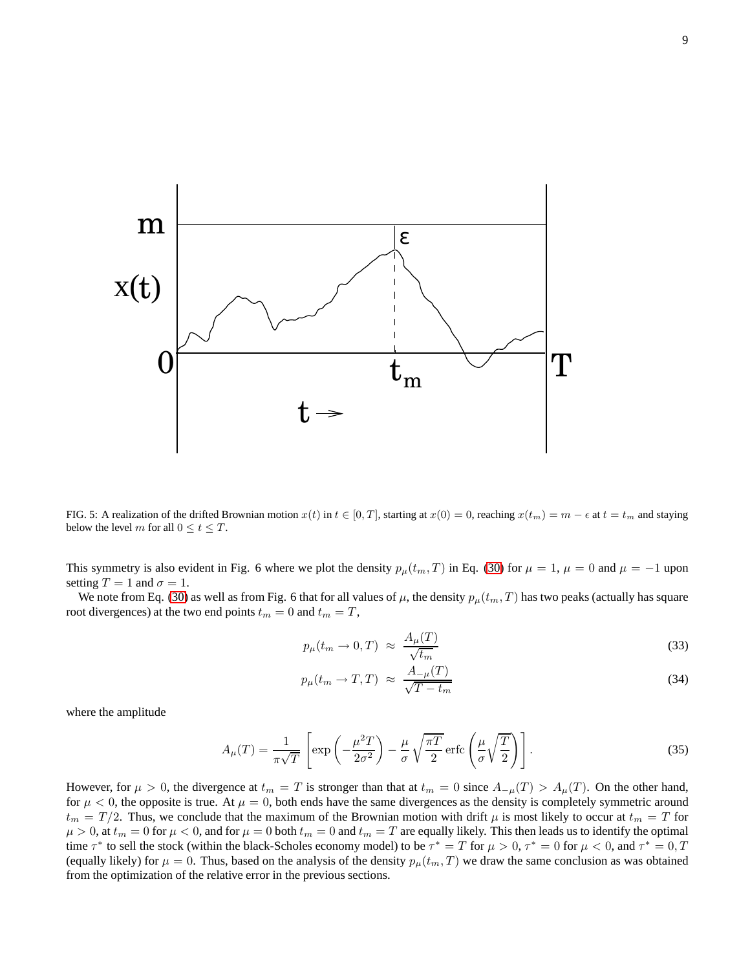

FIG. 5: A realization of the drifted Brownian motion  $x(t)$  in  $t \in [0, T]$ , starting at  $x(0) = 0$ , reaching  $x(t_m) = m - \epsilon$  at  $t = t_m$  and staying below the level m for all  $0 \le t \le T$ .

This symmetry is also evident in Fig. 6 where we plot the density  $p_{\mu}(t_m, T)$  in Eq. [\(30\)](#page-7-0) for  $\mu = 1$ ,  $\mu = 0$  and  $\mu = -1$  upon setting  $T = 1$  and  $\sigma = 1$ .

We note from Eq. [\(30\)](#page-7-0) as well as from Fig. 6 that for all values of  $\mu$ , the density  $p_\mu(t_m, T)$  has two peaks (actually has square root divergences) at the two end points  $t_m = 0$  and  $t_m = T$ ,

$$
p_{\mu}(t_m \to 0, T) \approx \frac{A_{\mu}(T)}{\sqrt{t_m}}
$$
\n(33)

$$
p_{\mu}(t_m \to T, T) \approx \frac{A_{-\mu}(T)}{\sqrt{T - t_m}}
$$
\n(34)

where the amplitude

$$
A_{\mu}(T) = \frac{1}{\pi\sqrt{T}} \left[ \exp\left(-\frac{\mu^2 T}{2\sigma^2}\right) - \frac{\mu}{\sigma} \sqrt{\frac{\pi T}{2}} \operatorname{erfc}\left(\frac{\mu}{\sigma} \sqrt{\frac{T}{2}}\right) \right]. \tag{35}
$$

However, for  $\mu > 0$ , the divergence at  $t_m = T$  is stronger than that at  $t_m = 0$  since  $A_{-\mu}(T) > A_{\mu}(T)$ . On the other hand, for  $\mu < 0$ , the opposite is true. At  $\mu = 0$ , both ends have the same divergences as the density is completely symmetric around  $t_m = T/2$ . Thus, we conclude that the maximum of the Brownian motion with drift  $\mu$  is most likely to occur at  $t_m = T$  for  $\mu > 0$ , at  $t_m = 0$  for  $\mu < 0$ , and for  $\mu = 0$  both  $t_m = 0$  and  $t_m = T$  are equally likely. This then leads us to identify the optimal time  $\tau^*$  to sell the stock (within the black-Scholes economy model) to be  $\tau^* = T$  for  $\mu > 0$ ,  $\tau^* = 0$  for  $\mu < 0$ , and  $\tau^* = 0$ ,  $T$ (equally likely) for  $\mu = 0$ . Thus, based on the analysis of the density  $p_\mu(t_m, T)$  we draw the same conclusion as was obtained from the optimization of the relative error in the previous sections.